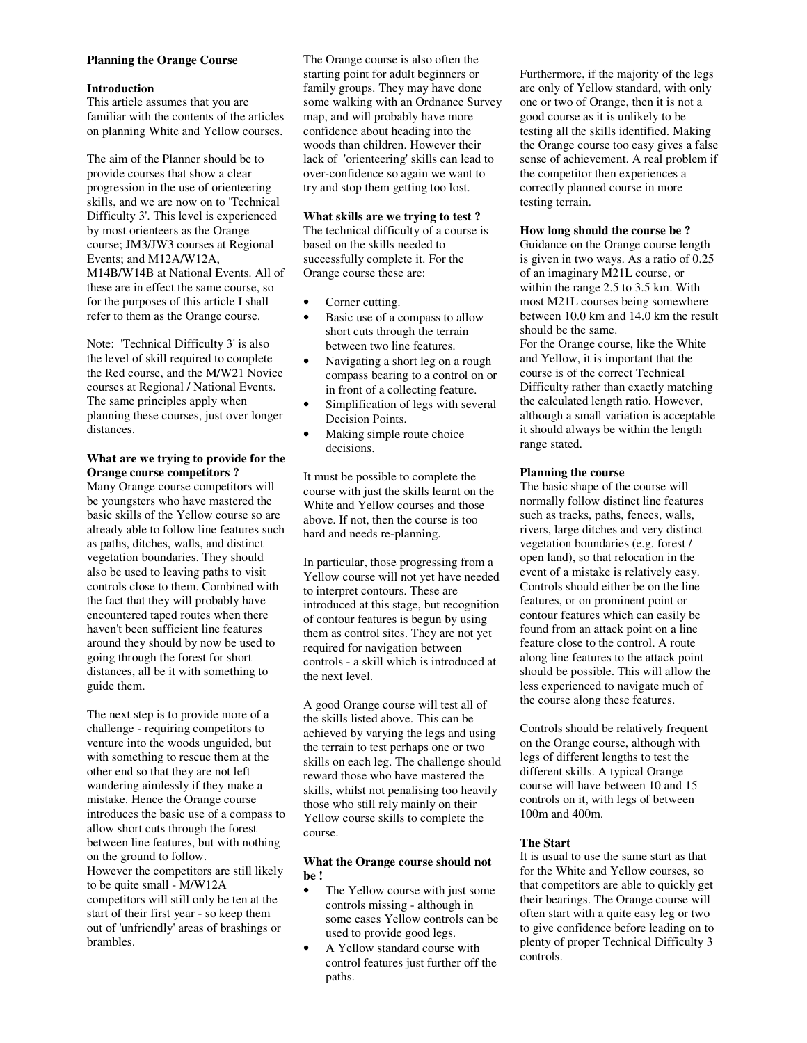#### **Planning the Orange Course**

### **Introduction**

This article assumes that you are familiar with the contents of the articles on planning White and Yellow courses.

The aim of the Planner should be to provide courses that show a clear progression in the use of orienteering skills, and we are now on to 'Technical Difficulty 3'. This level is experienced by most orienteers as the Orange course; JM3/JW3 courses at Regional Events; and M12A/W12A, M14B/W14B at National Events. All of these are in effect the same course, so for the purposes of this article I shall refer to them as the Orange course.

Note: 'Technical Difficulty 3' is also the level of skill required to complete the Red course, and the M/W21 Novice courses at Regional / National Events. The same principles apply when planning these courses, just over longer distances.

### **What are we trying to provide for the Orange course competitors ?**

Many Orange course competitors will be youngsters who have mastered the basic skills of the Yellow course so are already able to follow line features such as paths, ditches, walls, and distinct vegetation boundaries. They should also be used to leaving paths to visit controls close to them. Combined with the fact that they will probably have encountered taped routes when there haven't been sufficient line features around they should by now be used to going through the forest for short distances, all be it with something to guide them.

The next step is to provide more of a challenge - requiring competitors to venture into the woods unguided, but with something to rescue them at the other end so that they are not left wandering aimlessly if they make a mistake. Hence the Orange course introduces the basic use of a compass to allow short cuts through the forest between line features, but with nothing on the ground to follow. However the competitors are still likely to be quite small - M/W12A competitors will still only be ten at the start of their first year - so keep them out of 'unfriendly' areas of brashings or brambles.

The Orange course is also often the starting point for adult beginners or family groups. They may have done some walking with an Ordnance Survey map, and will probably have more confidence about heading into the woods than children. However their lack of 'orienteering' skills can lead to over-confidence so again we want to try and stop them getting too lost.

# **What skills are we trying to test ?**

The technical difficulty of a course is based on the skills needed to successfully complete it. For the Orange course these are:

- Corner cutting.
- Basic use of a compass to allow short cuts through the terrain between two line features.
- Navigating a short leg on a rough compass bearing to a control on or in front of a collecting feature.
- Simplification of legs with several Decision Points.
- Making simple route choice decisions.

It must be possible to complete the course with just the skills learnt on the White and Yellow courses and those above. If not, then the course is too hard and needs re-planning.

In particular, those progressing from a Yellow course will not yet have needed to interpret contours. These are introduced at this stage, but recognition of contour features is begun by using them as control sites. They are not yet required for navigation between controls - a skill which is introduced at the next level.

A good Orange course will test all of the skills listed above. This can be achieved by varying the legs and using the terrain to test perhaps one or two skills on each leg. The challenge should reward those who have mastered the skills, whilst not penalising too heavily those who still rely mainly on their Yellow course skills to complete the course.

### **What the Orange course should not be !**

- The Yellow course with just some controls missing - although in some cases Yellow controls can be used to provide good legs.
- A Yellow standard course with control features just further off the paths.

Furthermore, if the majority of the legs are only of Yellow standard, with only one or two of Orange, then it is not a good course as it is unlikely to be testing all the skills identified. Making the Orange course too easy gives a false sense of achievement. A real problem if the competitor then experiences a correctly planned course in more testing terrain.

### **How long should the course be ?**

Guidance on the Orange course length is given in two ways. As a ratio of 0.25 of an imaginary M21L course, or within the range 2.5 to 3.5 km. With most M21L courses being somewhere between 10.0 km and 14.0 km the result should be the same.

For the Orange course, like the White and Yellow, it is important that the course is of the correct Technical Difficulty rather than exactly matching the calculated length ratio. However, although a small variation is acceptable it should always be within the length range stated.

## **Planning the course**

The basic shape of the course will normally follow distinct line features such as tracks, paths, fences, walls, rivers, large ditches and very distinct vegetation boundaries (e.g. forest / open land), so that relocation in the event of a mistake is relatively easy. Controls should either be on the line features, or on prominent point or contour features which can easily be found from an attack point on a line feature close to the control. A route along line features to the attack point should be possible. This will allow the less experienced to navigate much of the course along these features.

Controls should be relatively frequent on the Orange course, although with legs of different lengths to test the different skills. A typical Orange course will have between 10 and 15 controls on it, with legs of between 100m and 400m.

## **The Start**

It is usual to use the same start as that for the White and Yellow courses, so that competitors are able to quickly get their bearings. The Orange course will often start with a quite easy leg or two to give confidence before leading on to plenty of proper Technical Difficulty 3 controls.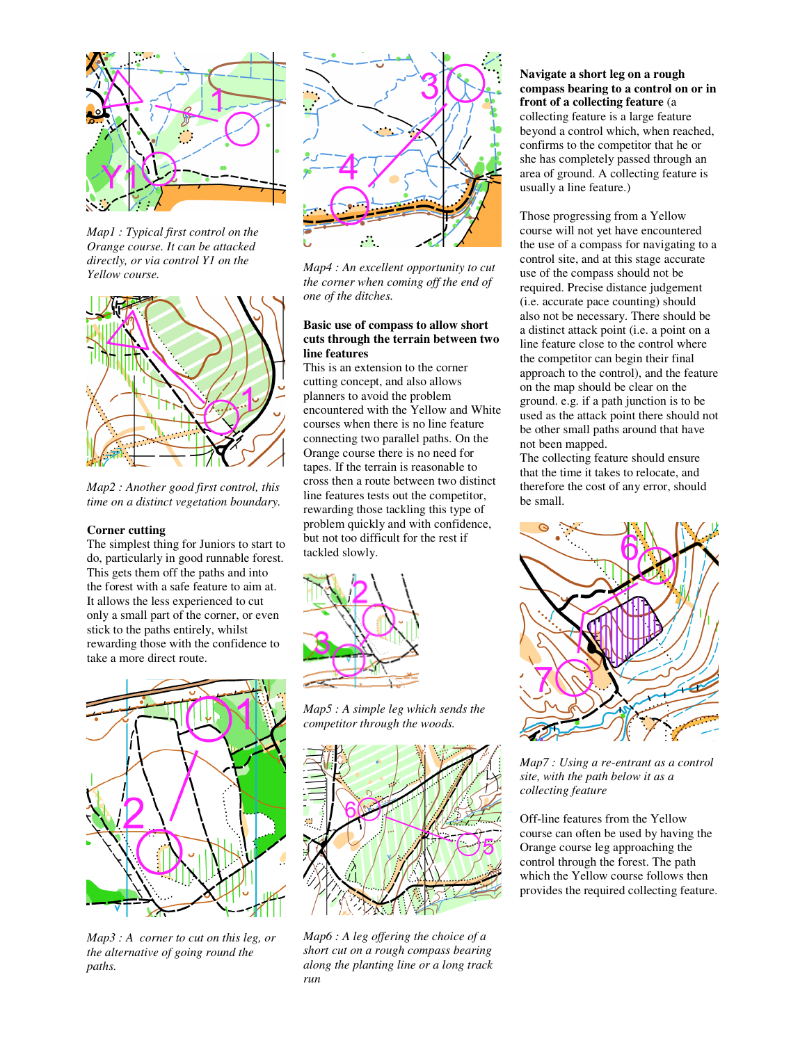

*Map1 : Typical first control on the Orange course. It can be attacked directly, or via control Y1 on the Yellow course.* 



*Map2 : Another good first control, this time on a distinct vegetation boundary.* 

#### **Corner cutting**

The simplest thing for Juniors to start to do, particularly in good runnable forest. This gets them off the paths and into the forest with a safe feature to aim at. It allows the less experienced to cut only a small part of the corner, or even stick to the paths entirely, whilst rewarding those with the confidence to take a more direct route.



*Map3 : A corner to cut on this leg, or the alternative of going round the paths.* 



*Map4 : An excellent opportunity to cut the corner when coming off the end of one of the ditches.*

## **Basic use of compass to allow short cuts through the terrain between two line features**

This is an extension to the corner cutting concept, and also allows planners to avoid the problem encountered with the Yellow and White courses when there is no line feature connecting two parallel paths. On the Orange course there is no need for tapes. If the terrain is reasonable to cross then a route between two distinct line features tests out the competitor, rewarding those tackling this type of problem quickly and with confidence, but not too difficult for the rest if tackled slowly.



*Map5 : A simple leg which sends the competitor through the woods.* 



*Map6 : A leg offering the choice of a short cut on a rough compass bearing along the planting line or a long track run* 

## **Navigate a short leg on a rough compass bearing to a control on or in front of a collecting feature** (a collecting feature is a large feature beyond a control which, when reached, confirms to the competitor that he or she has completely passed through an area of ground. A collecting feature is usually a line feature.)

Those progressing from a Yellow course will not yet have encountered the use of a compass for navigating to a control site, and at this stage accurate use of the compass should not be required. Precise distance judgement (i.e. accurate pace counting) should also not be necessary. There should be a distinct attack point (i.e. a point on a line feature close to the control where the competitor can begin their final approach to the control), and the feature on the map should be clear on the ground. e.g. if a path junction is to be used as the attack point there should not be other small paths around that have not been mapped.

The collecting feature should ensure that the time it takes to relocate, and therefore the cost of any error, should be small.



*Map7 : Using a re-entrant as a control site, with the path below it as a collecting feature* 

Off-line features from the Yellow course can often be used by having the Orange course leg approaching the control through the forest. The path which the Yellow course follows then provides the required collecting feature.